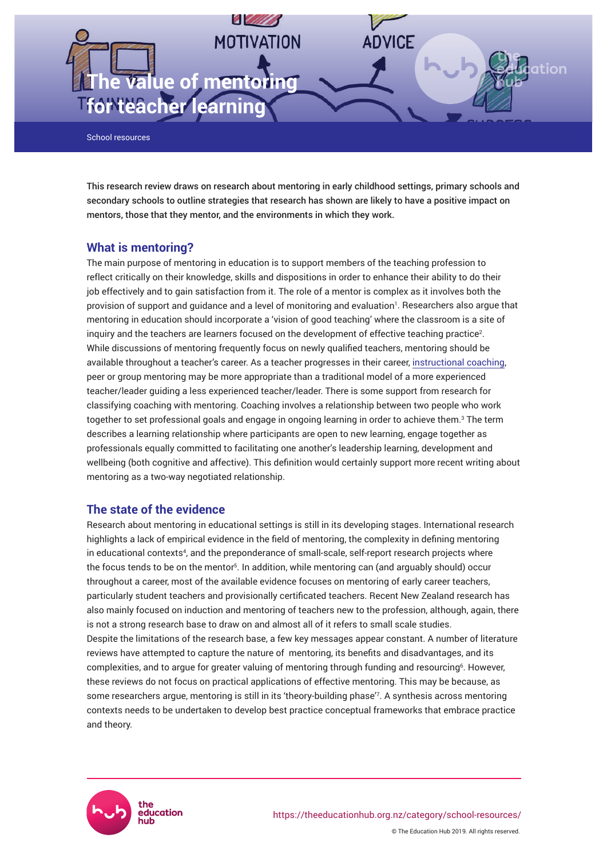

School resources

This research review draws on research about mentoring in early childhood settings, primary schools and secondary schools to outline strategies that research has shown are likely to have a positive impact on mentors, those that they mentor, and the environments in which they work.

## **What is mentoring?**

The main purpose of mentoring in education is to support members of the teaching profession to reflect critically on their knowledge, skills and dispositions in order to enhance their ability to do their job effectively and to gain satisfaction from it. The role of a mentor is complex as it involves both the provision of support and guidance and a level of monitoring and evaluation<sup>1</sup>. Researchers also argue that mentoring in education should incorporate a 'vision of good teaching' where the classroom is a site of inquiry and the teachers are learners focused on the development of effective teaching practice $^2$ . While discussions of mentoring frequently focus on newly qualified teachers, mentoring should be available throughout a teacher's career. As a teacher progresses in their career, [instructional coaching](https://theeducationhub.org.nz/an-introduction-to-instructional-coaching/), peer or group mentoring may be more appropriate than a traditional model of a more experienced teacher/leader guiding a less experienced teacher/leader. There is some support from research for classifying coaching with mentoring. Coaching involves a relationship between two people who work together to set professional goals and engage in ongoing learning in order to achieve them.<sup>3</sup> The term describes a learning relationship where participants are open to new learning, engage together as professionals equally committed to facilitating one another's leadership learning, development and wellbeing (both cognitive and affective). This definition would certainly support more recent writing about mentoring as a two-way negotiated relationship.

# **The state of the evidence**

Research about mentoring in educational settings is still in its developing stages. International research highlights a lack of empirical evidence in the field of mentoring, the complexity in defining mentoring in educational contexts<sup>4</sup> , and the preponderance of small-scale, self-report research projects where the focus tends to be on the mentor<sup>5</sup>. In addition, while mentoring can (and arguably should) occur throughout a career, most of the available evidence focuses on mentoring of early career teachers, particularly student teachers and provisionally certificated teachers. Recent New Zealand research has also mainly focused on induction and mentoring of teachers new to the profession, although, again, there is not a strong research base to draw on and almost all of it refers to small scale studies. Despite the limitations of the research base, a few key messages appear constant. A number of literature reviews have attempted to capture the nature of mentoring, its benefits and disadvantages, and its complexities, and to argue for greater valuing of mentoring through funding and resourcing<sup>6</sup>. However, these reviews do not focus on practical applications of effective mentoring. This may be because, as some researchers argue, mentoring is still in its 'theory-building phase'<sup>7</sup> . A synthesis across mentoring contexts needs to be undertaken to develop best practice conceptual frameworks that embrace practice and theory.

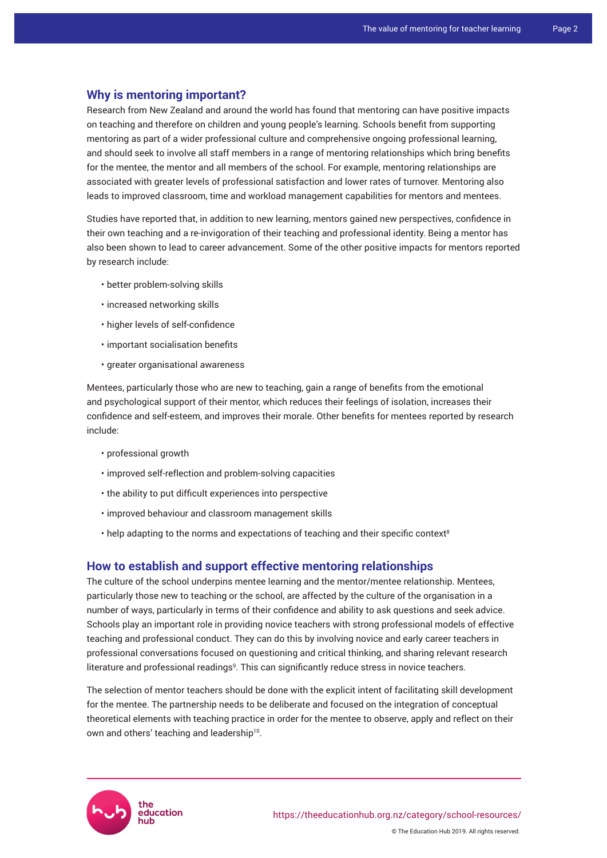### **Why is mentoring important?**

Research from New Zealand and around the world has found that mentoring can have positive impacts on teaching and therefore on children and young people's learning. Schools benefit from supporting mentoring as part of a wider professional culture and comprehensive ongoing professional learning, and should seek to involve all staff members in a range of mentoring relationships which bring benefits for the mentee, the mentor and all members of the school. For example, mentoring relationships are associated with greater levels of professional satisfaction and lower rates of turnover. Mentoring also leads to improved classroom, time and workload management capabilities for mentors and mentees.

Studies have reported that, in addition to new learning, mentors gained new perspectives, confidence in their own teaching and a re-invigoration of their teaching and professional identity. Being a mentor has also been shown to lead to career advancement. Some of the other positive impacts for mentors reported by research include:

- better problem-solving skills
- increased networking skills
- higher levels of self-confidence
- important socialisation benefits
- greater organisational awareness

Mentees, particularly those who are new to teaching, gain a range of benefits from the emotional and psychological support of their mentor, which reduces their feelings of isolation, increases their confidence and self-esteem, and improves their morale. Other benefits for mentees reported by research include:

- professional growth
- improved self-reflection and problem-solving capacities
- the ability to put difficult experiences into perspective
- improved behaviour and classroom management skills
- help adapting to the norms and expectations of teaching and their specific context<sup>8</sup>

## **How to establish and support effective mentoring relationships**

The culture of the school underpins mentee learning and the mentor/mentee relationship. Mentees, particularly those new to teaching or the school, are affected by the culture of the organisation in a number of ways, particularly in terms of their confidence and ability to ask questions and seek advice. Schools play an important role in providing novice teachers with strong professional models of effective teaching and professional conduct. They can do this by involving novice and early career teachers in professional conversations focused on questioning and critical thinking, and sharing relevant research literature and professional readings<sup>9</sup>. This can significantly reduce stress in novice teachers.

The selection of mentor teachers should be done with the explicit intent of facilitating skill development for the mentee. The partnership needs to be deliberate and focused on the integration of conceptual theoretical elements with teaching practice in order for the mentee to observe, apply and reflect on their own and others' teaching and leadership $^{10}$ .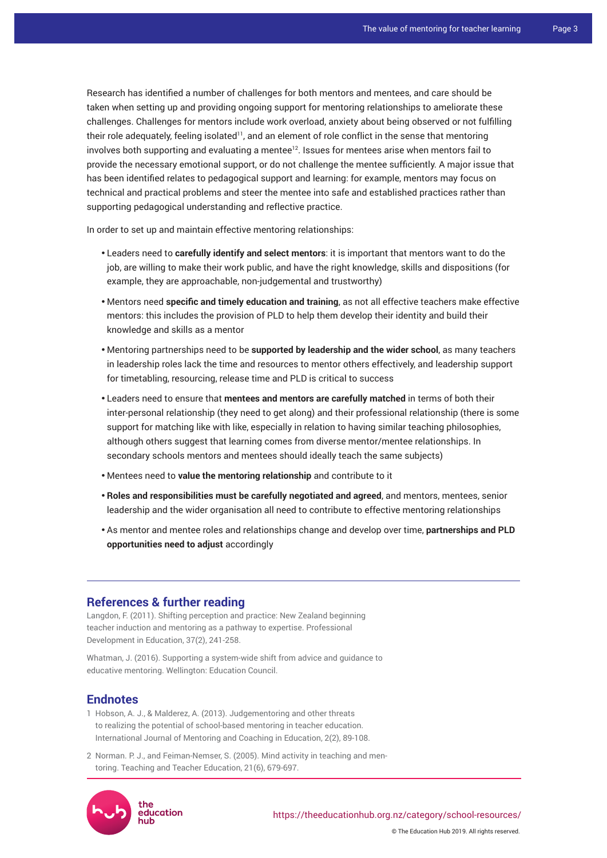Research has identified a number of challenges for both mentors and mentees, and care should be taken when setting up and providing ongoing support for mentoring relationships to ameliorate these challenges. Challenges for mentors include work overload, anxiety about being observed or not fulfilling their role adequately, feeling isolated<sup>11</sup>, and an element of role conflict in the sense that mentoring involves both supporting and evaluating a mentee<sup>12</sup>. Issues for mentees arise when mentors fail to provide the necessary emotional support, or do not challenge the mentee sufficiently. A major issue that has been identified relates to pedagogical support and learning: for example, mentors may focus on technical and practical problems and steer the mentee into safe and established practices rather than supporting pedagogical understanding and reflective practice.

In order to set up and maintain effective mentoring relationships:

- • Leaders need to **carefully identify and select mentors**: it is important that mentors want to do the job, are willing to make their work public, and have the right knowledge, skills and dispositions (for example, they are approachable, non-judgemental and trustworthy)
- • Mentors need **specific and timely education and training**, as not all effective teachers make effective mentors: this includes the provision of PLD to help them develop their identity and build their knowledge and skills as a mentor
- • Mentoring partnerships need to be **supported by leadership and the wider school**, as many teachers in leadership roles lack the time and resources to mentor others effectively, and leadership support for timetabling, resourcing, release time and PLD is critical to success
- • Leaders need to ensure that **mentees and mentors are carefully matched** in terms of both their inter-personal relationship (they need to get along) and their professional relationship (there is some support for matching like with like, especially in relation to having similar teaching philosophies, although others suggest that learning comes from diverse mentor/mentee relationships. In secondary schools mentors and mentees should ideally teach the same subjects)
- • Mentees need to **value the mentoring relationship** and contribute to it
- • **Roles and responsibilities must be carefully negotiated and agreed**, and mentors, mentees, senior leadership and the wider organisation all need to contribute to effective mentoring relationships
- As mentor and mentee roles and relationships change and develop over time, partnerships and PLD **opportunities need to adjust** accordingly

#### **References & further reading**

Langdon, F. (2011). [Shifting perception and practice: New Zealand beginning](https://cdn.auckland.ac.nz/assets/education/about/schools/tchldv/docs/Shifting-perception-and-practice.pdf)  [teacher induction and mentoring as a pathway to expertise](https://cdn.auckland.ac.nz/assets/education/about/schools/tchldv/docs/Shifting-perception-and-practice.pdf). Professional Development in Education, 37(2), 241-258.

Whatman, J. (2016). [Supporting a system-wide shift from advice and guidance to](https://www.nzcer.org.nz/system/files/Supporting%20a%20system-wide%20shift%20from%20advice%20and%20guidance%20to%20educative%20mentoring.pdf)  [educative mentoring.](https://www.nzcer.org.nz/system/files/Supporting%20a%20system-wide%20shift%20from%20advice%20and%20guidance%20to%20educative%20mentoring.pdf) Wellington: Education Council.

#### **Endnotes**

- 1 Hobson, A. J., & Malderez, A. (2013). [Judgementoring and other threats](https://shura.shu.ac.uk/7224/1/Hobson_and_Malderez_2013_Judgementoring_IJMCE_Post-print_draft.pdf)  [to realizing the potential of school-based mentoring in teacher education.](https://shura.shu.ac.uk/7224/1/Hobson_and_Malderez_2013_Judgementoring_IJMCE_Post-print_draft.pdf) International Journal of Mentoring and Coaching in Education, 2(2), 89-108.
- 2 Norman. P. J., and Feiman-Nemser, S. (2005). Mind activity in teaching and mentoring. Teaching and Teacher Education, 21(6), 679-697.